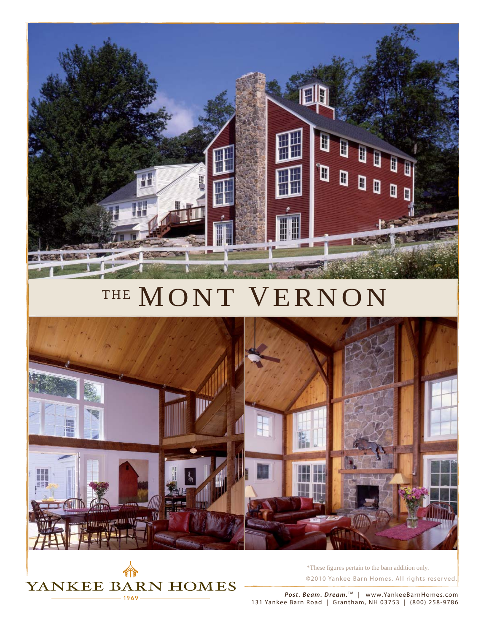

## THE MONT VERNON





*©*2010 Yankee Barn Homes. All rights reser ved. \*These figures pertain to the barn addition only.

*Post. Beam. Dream.*™ | www.YankeeBarnHomes.com 131 Yankee Barn Road | Grantham, NH 03753 | (800) 258-9786